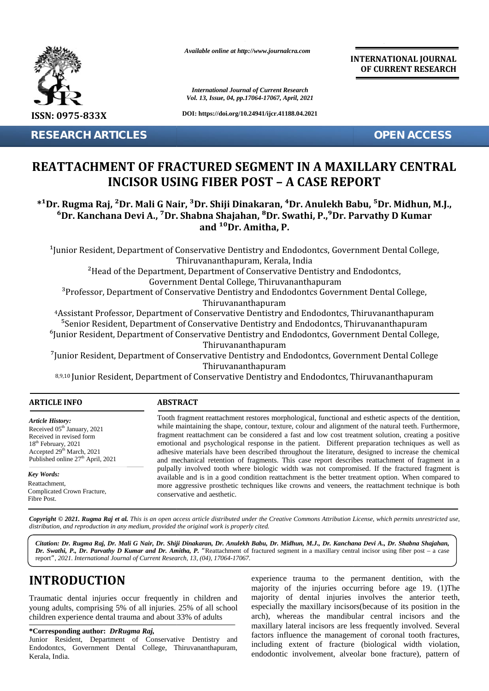

*Available online at http://www.journalcra.com*

*International Journal of Current Research Vol. 13, Issue, 04, pp.17064-17067, April, 2021* **INTERNATIONAL JOURNAL OF CURRENT RESEARCH**

## **REATTACHMENT OF FRACTURED SEGMENT IN A MAXILLARY CENTRAL CENTRALINCISOR USING FIBER POST – A CASE REPORT**

### **\*¹Dr. Rugma Raj, ²Dr. Mali G Nair, ³Dr. Shiji Dinakaran, ⁴Dr. Anulekh Babu, ⁵Dr. Midhun, M.J.,**  ${}^6$ Dr. Kanchana Devi A., <sup>7</sup>Dr. Shabna Shajahan,  ${}^8$ Dr. Swathi, P., ${}^9$ Dr. Parvathy D Kumar<br>and  ${}^{10}$ Dr. Amitha, P. **and ¹⁰Dr. Amitha, P.**

|                                                                                                                                                                                                                                                                                                                                                                                                      | <b>International Journal of Current Research</b><br>Vol. 13, Issue, 04, pp.17064-17067, April, 2021                                                                                                                                                                                                                                                                                                                                                                                                                                                                                                                                                                                                                                                                                                                                                                                                                                                                              |                                                                                                                                                                                                                                                                                                                                                                                                                                                                                                                                                                                                                                                                                                                                                                                                                |
|------------------------------------------------------------------------------------------------------------------------------------------------------------------------------------------------------------------------------------------------------------------------------------------------------------------------------------------------------------------------------------------------------|----------------------------------------------------------------------------------------------------------------------------------------------------------------------------------------------------------------------------------------------------------------------------------------------------------------------------------------------------------------------------------------------------------------------------------------------------------------------------------------------------------------------------------------------------------------------------------------------------------------------------------------------------------------------------------------------------------------------------------------------------------------------------------------------------------------------------------------------------------------------------------------------------------------------------------------------------------------------------------|----------------------------------------------------------------------------------------------------------------------------------------------------------------------------------------------------------------------------------------------------------------------------------------------------------------------------------------------------------------------------------------------------------------------------------------------------------------------------------------------------------------------------------------------------------------------------------------------------------------------------------------------------------------------------------------------------------------------------------------------------------------------------------------------------------------|
| ISSN: 0975-833X                                                                                                                                                                                                                                                                                                                                                                                      |                                                                                                                                                                                                                                                                                                                                                                                                                                                                                                                                                                                                                                                                                                                                                                                                                                                                                                                                                                                  | DOI: https://doi.org/10.24941/ijcr.41188.04.2021                                                                                                                                                                                                                                                                                                                                                                                                                                                                                                                                                                                                                                                                                                                                                               |
| <b>RESEARCH ARTICLES</b>                                                                                                                                                                                                                                                                                                                                                                             |                                                                                                                                                                                                                                                                                                                                                                                                                                                                                                                                                                                                                                                                                                                                                                                                                                                                                                                                                                                  | <b>OPEN ACCESS</b>                                                                                                                                                                                                                                                                                                                                                                                                                                                                                                                                                                                                                                                                                                                                                                                             |
|                                                                                                                                                                                                                                                                                                                                                                                                      |                                                                                                                                                                                                                                                                                                                                                                                                                                                                                                                                                                                                                                                                                                                                                                                                                                                                                                                                                                                  | REATTACHMENT OF FRACTURED SEGMENT IN A MAXILLARY CENTRAL<br><b>INCISOR USING FIBER POST - A CASE REPORT</b>                                                                                                                                                                                                                                                                                                                                                                                                                                                                                                                                                                                                                                                                                                    |
|                                                                                                                                                                                                                                                                                                                                                                                                      | and <sup>10</sup> Dr. Amitha, P.                                                                                                                                                                                                                                                                                                                                                                                                                                                                                                                                                                                                                                                                                                                                                                                                                                                                                                                                                 | <sup>*1</sup> Dr. Rugma Raj, <sup>2</sup> Dr. Mali G Nair, <sup>3</sup> Dr. Shiji Dinakaran, <sup>4</sup> Dr. Anulekh Babu, <sup>5</sup> Dr. Midhun, M.J.,<br><sup>6</sup> Dr. Kanchana Devi A., <sup>7</sup> Dr. Shabna Shajahan, <sup>8</sup> Dr. Swathi, P., <sup>9</sup> Dr. Parvathy D Kumar                                                                                                                                                                                                                                                                                                                                                                                                                                                                                                              |
|                                                                                                                                                                                                                                                                                                                                                                                                      | Thiruvananthapuram, Kerala, India<br>Thiruvananthapuram<br>Thiruvananthapuram<br>Thiruvananthapuram                                                                                                                                                                                                                                                                                                                                                                                                                                                                                                                                                                                                                                                                                                                                                                                                                                                                              | <sup>2</sup> Head of the Department, Department of Conservative Dentistry and Endodontcs,<br>Government Dental College, Thiruvananthapuram<br><sup>3</sup> Professor, Department of Conservative Dentistry and Endodontcs Government Dental College,<br><sup>4</sup> Assistant Professor, Department of Conservative Dentistry and Endodontcs, Thiruvananthapuram<br><sup>5</sup> Senior Resident, Department of Conservative Dentistry and Endodontcs, Thiruvananthapuram<br><sup>6</sup> Junior Resident, Department of Conservative Dentistry and Endodontcs, Government Dental College,<br><sup>7</sup> Junior Resident, Department of Conservative Dentistry and Endodontcs, Government Dental College<br>8,9,10 Junior Resident, Department of Conservative Dentistry and Endodontcs, Thiruvananthapuram |
| <b>ARTICLE INFO</b>                                                                                                                                                                                                                                                                                                                                                                                  | <b>ABSTRACT</b>                                                                                                                                                                                                                                                                                                                                                                                                                                                                                                                                                                                                                                                                                                                                                                                                                                                                                                                                                                  |                                                                                                                                                                                                                                                                                                                                                                                                                                                                                                                                                                                                                                                                                                                                                                                                                |
| Article History:<br>Received 05 <sup>th</sup> January, 2021<br>Received in revised form<br>18 <sup>th</sup> February, 2021<br>Accepted 29th March, 2021<br>Published online 27 <sup>th</sup> April, 2021<br>Key Words:<br>Reattachment,<br>Complicated Crown Fracture,<br>Fibre Post.                                                                                                                | Tooth fragment reattachment restores morphological, functional and esthetic aspects of the dentition,<br>while maintaining the shape, contour, texture, colour and alignment of the natural teeth. Furthermore,<br>fragment reattachment can be considered a fast and low cost treatment solution, creating a positive<br>emotional and psychological response in the patient. Different preparation techniques as well as<br>adhesive materials have been described throughout the literature, designed to increase the chemical<br>and mechanical retention of fragments. This case report describes reattachment of fragment in a<br>pulpally involved tooth where biologic width was not compromised. If the fractured fragment is<br>available and is in a good condition reattachment is the better treatment option. When compared to<br>more aggressive prosthetic techniques like crowns and veneers, the reattachment technique is both<br>conservative and aesthetic. |                                                                                                                                                                                                                                                                                                                                                                                                                                                                                                                                                                                                                                                                                                                                                                                                                |
|                                                                                                                                                                                                                                                                                                                                                                                                      | distribution, and reproduction in any medium, provided the original work is properly cited.                                                                                                                                                                                                                                                                                                                                                                                                                                                                                                                                                                                                                                                                                                                                                                                                                                                                                      | <b>Copyright © 2021. Rugma Raj et al.</b> This is an open access article distributed under the Creative Commons Attribution License, which permits unrestricted use,                                                                                                                                                                                                                                                                                                                                                                                                                                                                                                                                                                                                                                           |
|                                                                                                                                                                                                                                                                                                                                                                                                      | report", 2021. International Journal of Current Research, 13, (04), 17064-17067.                                                                                                                                                                                                                                                                                                                                                                                                                                                                                                                                                                                                                                                                                                                                                                                                                                                                                                 | Citation: Dr. Rugma Raj, Dr. Mali G Nair, Dr. Shiji Dinakaran, Dr. Anulekh Babu, Dr. Midhun, M.J., Dr. Kanchana Devi A., Dr. Shabna Shajahan,<br>Dr. Swathi, P., Dr. Parvathy D Kumar and Dr. Amitha, P. "Reattachment of fractured segment in a maxillary central incisor using fiber post - a case                                                                                                                                                                                                                                                                                                                                                                                                                                                                                                           |
| <b>INTRODUCTION</b><br>Traumatic dental injuries occur frequently in children and<br>young adults, comprising 5% of all injuries. 25% of all school<br>children experience dental trauma and about 33% of adults<br>*Corresponding author: DrRugma Raj,<br>Junior Resident, Department of Conservative Dentistry and<br>Endodontcs, Government Dental College, Thiruvananthapuram,<br>Kerala, India. |                                                                                                                                                                                                                                                                                                                                                                                                                                                                                                                                                                                                                                                                                                                                                                                                                                                                                                                                                                                  | experience trauma to the permanent dentition, with the<br>majority of the injuries occurring before age 19. (1) The<br>majority of dental injuries involves the anterior teeth,<br>especially the maxillary incisors (because of its position in the<br>arch), whereas the mandibular central incisors and the<br>maxillary lateral incisors are less frequently involved. Several<br>factors influence the management of coronal tooth fractures,<br>including extent of fracture (biological width violation,<br>endodontic involvement, alveolar bone fracture), pattern of                                                                                                                                                                                                                                 |

# **INTRODUCTION INTRODUCTION**

#### **\*Corresponding author:** *DrRugma Raj,* **\*Corresponding**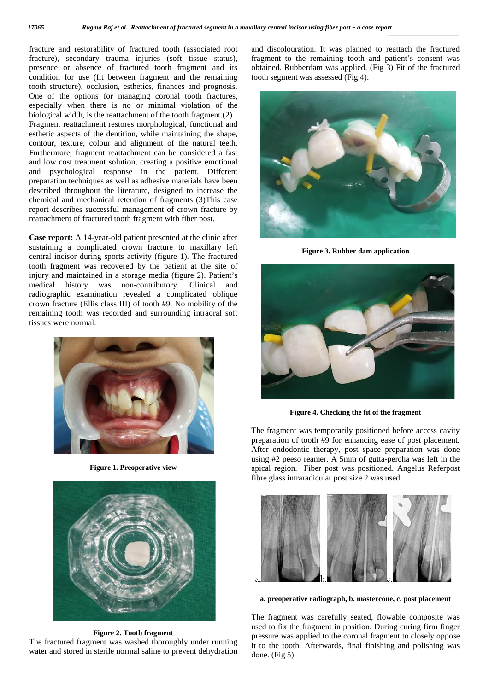fracture and restorability of fractured tooth (associated root fracture), secondary trauma injuries (soft tissue status), fracture and restorability of fractured tooth (associated root and fracture), secondary trauma injuries (soft tissue status), fra<br>presence or absence of fractured tooth fragment and its ob condition for use (fit between fragment and the remaining tooth structure), occlusion, esthetics, finances and prognosis. condition for use (fit between fragment and the remaining<br>tooth structure), occlusion, esthetics, finances and prognosis.<br>One of the options for managing coronal tooth fractures, especially when there is no or minimal violation of the biological width, is the reattachment of the tooth fragment.(2) Fragment reattachment restores morphological, functional and esthetic aspects of the dentition, while maintaining the shape, contour, texture, colour and alignment of the natural teeth. Furthermore, fragment reattachment can be considered a fast and low cost treatment solution, creating a positive emotional Furthermore, fragment reattachment can be considered a fast<br>and low cost treatment solution, creating a positive emotional<br>and psychological response in the patient. Different preparation techniques as well as adhesive materials have been described throughout the literature, designed to increase the chemical and mechanical retention of fragments (3)This case report describes successful management of crown fracture by reattachment of fractured tooth fragment with fiber post. especially when there is no or minimal violation of the biological width, is the reattachment of the tooth fragment.(2) Fragment reattachment restores morphological, functional and esthetic aspects of the dentition, while preparation techniques as well as adhesive materials have<br>described throughout the literature, designed to increate<br>chemical and mechanical retention of fragments (3)Th<br>report describes successful management of crown fract The fragment water in sterile normal to dehydrationdiscolouration. fragment to (Fig3) **Rubber 4.the the fragment**for enhancing After space reamer. region. positioned. size2 **post** composite the fragment opposethe final done. (Fig*Raj post* absence of fractured tooth fragment and<br>
use (fit between fragment and the remain<br>
re), occlusion, esthetics, finances and progno<br>
options for managing coronal tooth fractu<br>
hen there is no or minimal violation of<br>
dth, is

**Case report:** A 14-year-old patient presented at the clinic after sustaining a complicated crown fracture to maxillary left central incisor during sports activity (figure 1). The fractured tooth fragment was recovered by the patient at the site of injury and maintained in a storage media (figure 2). Patient's medical history was non-contributory. Clinical and radiographic examination revealed a complicated oblique crown fracture (Ellis class III) of tooth #9. No mobility of the remaining tooth was recorded and surrounding intraoral soft tissues were normal. tissues sustaining a complicated crown fracture to maxillary left<br>central incisor during sports activity (figure 1). The fractured<br>tooth fragment was recovered by the patient at the site of<br>injury and maintained in a storage media



**Figure 1. Preoperative view**



**Figure 2. Tooth fragment Tooth fragment**

The fractured fragment was washed thoroughly under running water and stored in sterile normal saline to prevent dehydration

and discolouration. It was planned to reattach the fractured fragment to the remaining tooth and patient's consent was obtained. Rubberdam was applied. (Fig 3) Fit of the fractured tooth segment was assessed (Fig 4).



**Figure 3. Rubber dam application**



**Figure 4. Checking the fit of the fragment**

The fragment was temporarily positioned before access cavity preparation of tooth #9 for enhancing ease of post placement. After endodontic therapy, post space preparation was done using #2 peeso reamer. A 5mm of gutta-percha was left in the apical region. Fiber post was positioned. Angelus Referpost fibre glass intraradicular post size 2 was used.



**a. preoperative radiograph, b. mastercone, c. post placement mastercone,** 

The fragment was carefully seated, flowable composite was used to fix the fragment in position. During curing firm finger pressure was applied to the coronal fragment to closely oppose it to the tooth. Afterwards, final finishing and polishing was done. (Fig 5)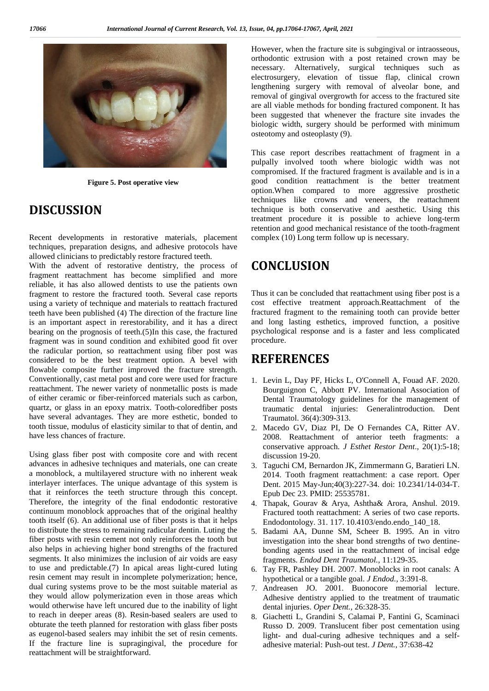

**Figure 5. Post operative view**

### **DISCUSSION**

Recent developments in restorative materials, placement techniques, preparation designs, and adhesive protocols have allowed clinicians to predictably restore fractured teeth.

With the advent of restorative dentistry, the process of fragment reattachment has become simplified and more reliable, it has also allowed dentists to use the patients own fragment to restore the fractured tooth. Several case reports using a variety of technique and materials to reattach fractured teeth have been published (4) The direction of the fracture line is an important aspect in rerestorability, and it has a direct bearing on the prognosis of teeth.(5)In this case, the fractured fragment was in sound condition and exhibited good fit over the radicular portion, so reattachment using fiber post was considered to be the best treatment option. A bevel with flowable composite further improved the fracture strength. Conventionally, cast metal post and core were used for fracture reattachment. The newer variety of nonmetallic posts is made of either ceramic or fiber-reinforced materials such as carbon, quartz, or glass in an epoxy matrix. Tooth-coloredfiber posts have several advantages. They are more esthetic, bonded to tooth tissue, modulus of elasticity similar to that of dentin, and have less chances of fracture.

Using glass fiber post with composite core and with recent advances in adhesive techniques and materials, one can create a monoblock, a multilayered structure with no inherent weak interlayer interfaces. The unique advantage of this system is that it reinforces the teeth structure through this concept. Therefore, the integrity of the final endodontic restorative continuum monoblock approaches that of the original healthy tooth itself (6). An additional use of fiber posts is that it helps to distribute the stress to remaining radicular dentin. Luting the fiber posts with resin cement not only reinforces the tooth but also helps in achieving higher bond strengths of the fractured segments. It also minimizes the inclusion of air voids are easy to use and predictable.(7) In apical areas light-cured luting resin cement may result in incomplete polymerization; hence, dual curing systems prove to be the most suitable material as they would allow polymerization even in those areas which would otherwise have left uncured due to the inability of light to reach in deeper areas (8). Resin-based sealers are used to obturate the teeth planned for restoration with glass fiber posts as eugenol-based sealers may inhibit the set of resin cements. If the fracture line is supragingival, the procedure for reattachment will be straightforward.

However, when the fracture site is subgingival or intraosseous, orthodontic extrusion with a post retained crown may be necessary. Alternatively, surgical techniques such as electrosurgery, elevation of tissue flap, clinical crown lengthening surgery with removal of alveolar bone, and removal of gingival overgrowth for access to the fractured site are all viable methods for bonding fractured component. It has been suggested that whenever the fracture site invades the biologic width, surgery should be performed with minimum osteotomy and osteoplasty (9).

This case report describes reattachment of fragment in a pulpally involved tooth where biologic width was not compromised. If the fractured fragment is available and is in a good condition reattachment is the better treatment option.When compared to more aggressive prosthetic techniques like crowns and veneers, the reattachment technique is both conservative and aesthetic. Using this treatment procedure it is possible to achieve long-term retention and good mechanical resistance of the tooth-fragment complex (10) Long term follow up is necessary.

### **CONCLUSION**

Thus it can be concluded that reattachment using fiber post is a cost effective treatment approach.Reattachment of the fractured fragment to the remaining tooth can provide better and long lasting esthetics, improved function, a positive psychological response and is a faster and less complicated procedure.

### **REFERENCES**

- 1. Levin L, Day PF, Hicks L, O'Connell A, Fouad AF. 2020. Bourguignon C, Abbott PV. International Association of Dental Traumatology guidelines for the management of traumatic dental injuries: Generalintroduction. Dent Traumatol. 36(4):309-313.
- 2. Macedo GV, Diaz PI, De O Fernandes CA, Ritter AV. 2008. Reattachment of anterior teeth fragments: a conservative approach. *J Esthet Restor Dent*., 20(1):5-18; discussion 19-20.
- 3. Taguchi CM, Bernardon JK, Zimmermann G, Baratieri LN. 2014. Tooth fragment reattachment: a case report. Oper Dent. 2015 May-Jun;40(3):227-34. doi: 10.2341/14-034-T. Epub Dec 23. PMID: 25535781.
- 4. Thapak, Gourav & Arya, Ashtha& Arora, Anshul. 2019. Fractured tooth reattachment: A series of two case reports. Endodontology. 31. 117. 10.4103/endo.endo\_140\_18.
- 5. Badami AA, Dunne SM, Scheer B. 1995. An in vitro investigation into the shear bond strengths of two dentine bonding agents used in the reattachment of incisal edge fragments. *Endod Dent Traumatol.,* 11:129-35.
- 6. Tay FR, Pashley DH. 2007. Monoblocks in root canals: A hypothetical or a tangible goal. *J Endod.,* 3:391-8.
- 7. Andreasen JO. 2001. Buonocore memorial lecture. Adhesive dentistry applied to the treatment of traumatic dental injuries. *Oper Dent.,* 26:328-35.
- 8. Giachetti L, Grandini S, Calamai P, Fantini G, Scaminaci Russo D. 2009. Translucent fiber post cementation using light- and dual-curing adhesive techniques and a self adhesive material: Push-out test. *J Dent.,* 37:638-42